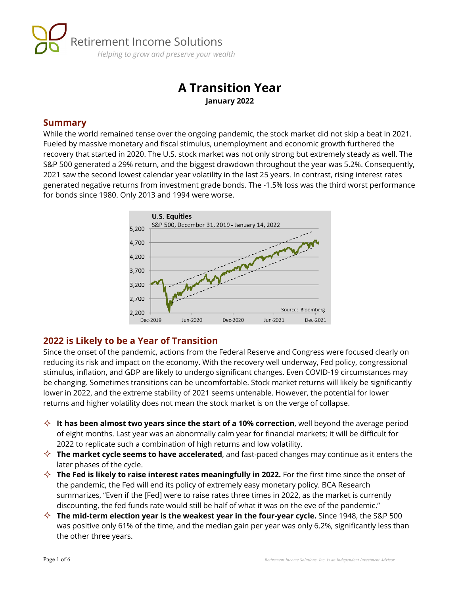

# **A Transition Year January 2022**

#### **Summary**

While the world remained tense over the ongoing pandemic, the stock market did not skip a beat in 2021. Fueled by massive monetary and fiscal stimulus, unemployment and economic growth furthered the recovery that started in 2020. The U.S. stock market was not only strong but extremely steady as well. The S&P 500 generated a 29% return, and the biggest drawdown throughout the year was 5.2%. Consequently, 2021 saw the second lowest calendar year volatility in the last 25 years. In contrast, rising interest rates generated negative returns from investment grade bonds. The -1.5% loss was the third worst performance for bonds since 1980. Only 2013 and 1994 were worse.



## **2022 is Likely to be a Year of Transition**

Since the onset of the pandemic, actions from the Federal Reserve and Congress were focused clearly on reducing its risk and impact on the economy. With the recovery well underway, Fed policy, congressional stimulus, inflation, and GDP are likely to undergo significant changes. Even COVID-19 circumstances may be changing. Sometimes transitions can be uncomfortable. Stock market returns will likely be significantly lower in 2022, and the extreme stability of 2021 seems untenable. However, the potential for lower returns and higher volatility does not mean the stock market is on the verge of collapse.

- **↑ It has been almost two years since the start of a 10% correction**, well beyond the average period of eight months. Last year was an abnormally calm year for financial markets; it will be difficult for 2022 to replicate such a combination of high returns and low volatility.
- **The market cycle seems to have accelerated**, and fast-paced changes may continue as it enters the later phases of the cycle.
- **↑ The Fed is likely to raise interest rates meaningfully in 2022.** For the first time since the onset of the pandemic, the Fed will end its policy of extremely easy monetary policy. BCA Research summarizes, "Even if the [Fed] were to raise rates three times in 2022, as the market is currently discounting, the fed funds rate would still be half of what it was on the eve of the pandemic."
- $\diamondsuit$  The mid-term election year is the weakest year in the four-year cycle. Since 1948, the S&P 500 was positive only 61% of the time, and the median gain per year was only 6.2%, significantly less than the other three years.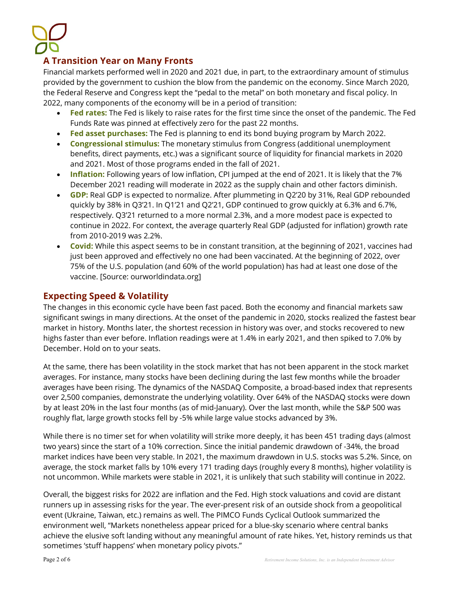## **A Transition Year on Many Fronts**

Financial markets performed well in 2020 and 2021 due, in part, to the extraordinary amount of stimulus provided by the government to cushion the blow from the pandemic on the economy. Since March 2020, the Federal Reserve and Congress kept the "pedal to the metal" on both monetary and fiscal policy. In 2022, many components of the economy will be in a period of transition:

- **Fed rates:** The Fed is likely to raise rates for the first time since the onset of the pandemic. The Fed Funds Rate was pinned at effectively zero for the past 22 months.
- **Fed asset purchases:** The Fed is planning to end its bond buying program by March 2022.
- **Congressional stimulus:** The monetary stimulus from Congress (additional unemployment benefits, direct payments, etc.) was a significant source of liquidity for financial markets in 2020 and 2021. Most of those programs ended in the fall of 2021.
- **Inflation:** Following years of low inflation, CPI jumped at the end of 2021. It is likely that the 7% December 2021 reading will moderate in 2022 as the supply chain and other factors diminish.
- **GDP:** Real GDP is expected to normalize. After plummeting in Q2'20 by 31%, Real GDP rebounded quickly by 38% in Q3'21. In Q1'21 and Q2'21, GDP continued to grow quickly at 6.3% and 6.7%, respectively. Q3'21 returned to a more normal 2.3%, and a more modest pace is expected to continue in 2022. For context, the average quarterly Real GDP (adjusted for inflation) growth rate from 2010-2019 was 2.2%.
- **Covid:** While this aspect seems to be in constant transition, at the beginning of 2021, vaccines had just been approved and effectively no one had been vaccinated. At the beginning of 2022, over 75% of the U.S. population (and 60% of the world population) has had at least one dose of the vaccine. [Source: ourworldindata.org]

#### **Expecting Speed & Volatility**

The changes in this economic cycle have been fast paced. Both the economy and financial markets saw significant swings in many directions. At the onset of the pandemic in 2020, stocks realized the fastest bear market in history. Months later, the shortest recession in history was over, and stocks recovered to new highs faster than ever before. Inflation readings were at 1.4% in early 2021, and then spiked to 7.0% by December. Hold on to your seats.

At the same, there has been volatility in the stock market that has not been apparent in the stock market averages. For instance, many stocks have been declining during the last few months while the broader averages have been rising. The dynamics of the NASDAQ Composite, a broad-based index that represents over 2,500 companies, demonstrate the underlying volatility. Over 64% of the NASDAQ stocks were down by at least 20% in the last four months (as of mid-January). Over the last month, while the S&P 500 was roughly flat, large growth stocks fell by -5% while large value stocks advanced by 3%.

While there is no timer set for when volatility will strike more deeply, it has been 451 trading days (almost two years) since the start of a 10% correction. Since the initial pandemic drawdown of -34%, the broad market indices have been very stable. In 2021, the maximum drawdown in U.S. stocks was 5.2%. Since, on average, the stock market falls by 10% every 171 trading days (roughly every 8 months), higher volatility is not uncommon. While markets were stable in 2021, it is unlikely that such stability will continue in 2022.

Overall, the biggest risks for 2022 are inflation and the Fed. High stock valuations and covid are distant runners up in assessing risks for the year. The ever-present risk of an outside shock from a geopolitical event (Ukraine, Taiwan, etc.) remains as well. The PIMCO Funds Cyclical Outlook summarized the environment well, "Markets nonetheless appear priced for a blue-sky scenario where central banks achieve the elusive soft landing without any meaningful amount of rate hikes. Yet, history reminds us that sometimes 'stuff happens' when monetary policy pivots."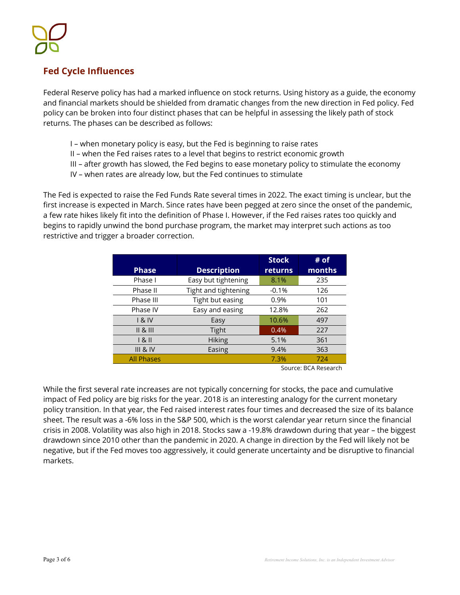## **Fed Cycle Influences**

Federal Reserve policy has had a marked influence on stock returns. Using history as a guide, the economy and financial markets should be shielded from dramatic changes from the new direction in Fed policy. Fed policy can be broken into four distinct phases that can be helpful in assessing the likely path of stock returns. The phases can be described as follows:

- I when monetary policy is easy, but the Fed is beginning to raise rates
- II when the Fed raises rates to a level that begins to restrict economic growth
- III after growth has slowed, the Fed begins to ease monetary policy to stimulate the economy
- IV when rates are already low, but the Fed continues to stimulate

The Fed is expected to raise the Fed Funds Rate several times in 2022. The exact timing is unclear, but the first increase is expected in March. Since rates have been pegged at zero since the onset of the pandemic, a few rate hikes likely fit into the definition of Phase I. However, if the Fed raises rates too quickly and begins to rapidly unwind the bond purchase program, the market may interpret such actions as too restrictive and trigger a broader correction.

|                     |                      | <b>Stock</b>   | # of   |
|---------------------|----------------------|----------------|--------|
| <b>Phase</b>        | <b>Description</b>   | <b>returns</b> | months |
| Phase I             | Easy but tightening  | 8.1%           | 235    |
| Phase II            | Tight and tightening | $-0.1%$        | 126    |
| Phase III           | Tight but easing     | 0.9%           | 101    |
| Phase IV            | Easy and easing      | 12.8%          | 262    |
| 18N                 | Easy                 | 10.6%          | 497    |
| 8                   | Tight                | 0.4%           | 227    |
| 181                 | <b>Hiking</b>        | 5.1%           | 361    |
| <b>III &amp; IV</b> | Easing               | 9.4%           | 363    |
| <b>All Phases</b>   |                      | 7.3%           | 724    |

Source: BCA Research

While the first several rate increases are not typically concerning for stocks, the pace and cumulative impact of Fed policy are big risks for the year. 2018 is an interesting analogy for the current monetary policy transition. In that year, the Fed raised interest rates four times and decreased the size of its balance sheet. The result was a -6% loss in the S&P 500, which is the worst calendar year return since the financial crisis in 2008. Volatility was also high in 2018. Stocks saw a -19.8% drawdown during that year – the biggest drawdown since 2010 other than the pandemic in 2020. A change in direction by the Fed will likely not be negative, but if the Fed moves too aggressively, it could generate uncertainty and be disruptive to financial markets.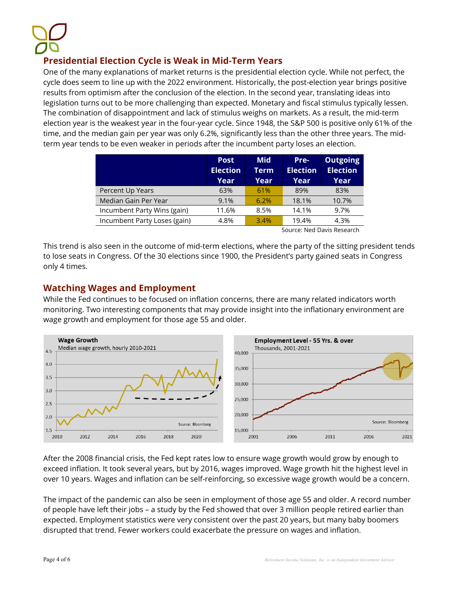## **Presidential Election Cycle is Weak in Mid-Term Years**

One of the many explanations of market returns is the presidential election cycle. While not perfect, the cycle does seem to line up with the 2022 environment. Historically, the post-election year brings positive results from optimism after the conclusion of the election. In the second year, translating ideas into legislation turns out to be more challenging than expected. Monetary and fiscal stimulus typically lessen. The combination of disappointment and lack of stimulus weighs on markets. As a result, the mid-term election year is the weakest year in the four-year cycle. Since 1948, the S&P 500 is positive only 61% of the time, and the median gain per year was only 6.2%, significantly less than the other three years. The midterm year tends to be even weaker in periods after the incumbent party loses an election.

|                              | <b>Post</b><br><b>Election</b><br>Year | <b>Mid</b><br>Term<br>Year | Pre-<br><b>Election</b><br>Year | <b>Outgoing</b><br><b>Election</b><br>Year |
|------------------------------|----------------------------------------|----------------------------|---------------------------------|--------------------------------------------|
| Percent Up Years             | 63%                                    | 61%                        | 89%                             | 83%                                        |
| Median Gain Per Year         | 9.1%                                   | 6.2%                       | 18.1%                           | 10.7%                                      |
| Incumbent Party Wins (gain)  | 11.6%                                  | 8.5%                       | 14.1%                           | 9.7%                                       |
| Incumbent Party Loses (gain) | 4.8%                                   | 3.4%                       | 19.4%                           | 4.3%                                       |

Source: Ned Davis Research

This trend is also seen in the outcome of mid-term elections, where the party of the sitting president tends to lose seats in Congress. Of the 30 elections since 1900, the President's party gained seats in Congress only 4 times.

## **Watching Wages and Employment**

While the Fed continues to be focused on inflation concerns, there are many related indicators worth monitoring. Two interesting components that may provide insight into the inflationary environment are wage growth and employment for those age 55 and older.



After the 2008 financial crisis, the Fed kept rates low to ensure wage growth would grow by enough to exceed inflation. It took several years, but by 2016, wages improved. Wage growth hit the highest level in over 10 years. Wages and inflation can be self-reinforcing, so excessive wage growth would be a concern.

The impact of the pandemic can also be seen in employment of those age 55 and older. A record number of people have left their jobs – a study by the Fed showed that over 3 million people retired earlier than expected. Employment statistics were very consistent over the past 20 years, but many baby boomers disrupted that trend. Fewer workers could exacerbate the pressure on wages and inflation.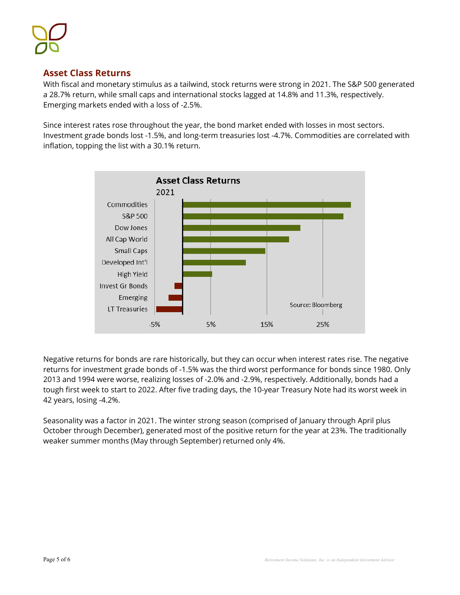## **Asset Class Returns**

With fiscal and monetary stimulus as a tailwind, stock returns were strong in 2021. The S&P 500 generated a 28.7% return, while small caps and international stocks lagged at 14.8% and 11.3%, respectively. Emerging markets ended with a loss of -2.5%.

Since interest rates rose throughout the year, the bond market ended with losses in most sectors. Investment grade bonds lost -1.5%, and long-term treasuries lost -4.7%. Commodities are correlated with inflation, topping the list with a 30.1% return.



Negative returns for bonds are rare historically, but they can occur when interest rates rise. The negative returns for investment grade bonds of -1.5% was the third worst performance for bonds since 1980. Only 2013 and 1994 were worse, realizing losses of -2.0% and -2.9%, respectively. Additionally, bonds had a tough first week to start to 2022. After five trading days, the 10-year Treasury Note had its worst week in 42 years, losing -4.2%.

Seasonality was a factor in 2021. The winter strong season (comprised of January through April plus October through December), generated most of the positive return for the year at 23%. The traditionally weaker summer months (May through September) returned only 4%.